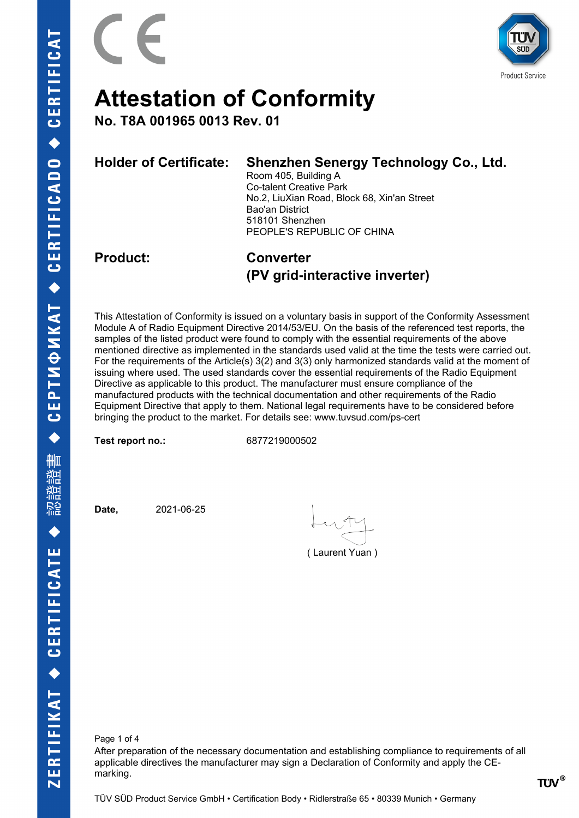

**No. T8A 001965 0013 Rev. 01**

| <b>Holder of Certificate:</b> | Shenzhen Senergy Technology Co., Ltd.<br>Room 405, Building A<br><b>Co-talent Creative Park</b><br>No.2, LiuXian Road, Block 68, Xin'an Street<br>Bao'an District<br>518101 Shenzhen<br>PEOPLE'S REPUBLIC OF CHINA |  |  |  |  |
|-------------------------------|--------------------------------------------------------------------------------------------------------------------------------------------------------------------------------------------------------------------|--|--|--|--|
| <b>Product:</b>               | <b>Converter</b><br>(PV grid-interactive inverter)                                                                                                                                                                 |  |  |  |  |

This Attestation of Conformity is issued on a voluntary basis in support of the Conformity Assessment Module A of Radio Equipment Directive 2014/53/EU. On the basis of the referenced test reports, the samples of the listed product were found to comply with the essential requirements of the above mentioned directive as implemented in the standards used valid at the time the tests were carried out. For the requirements of the Article(s) 3(2) and 3(3) only harmonized standards valid at the moment of issuing where used. The used standards cover the essential requirements of the Radio Equipment Directive as applicable to this product. The manufacturer must ensure compliance of the manufactured products with the technical documentation and other requirements of the Radio Equipment Directive that apply to them. National legal requirements have to be considered before bringing the product to the market. For details see: www.tuvsud.com/ps-cert

**Test report no.:** 6877219000502

**Date,** 2021-06-25

( Laurent Yuan )

Page 1 of 4 After preparation of the necessary documentation and establishing compliance to requirements of all applicable directives the manufacturer may sign a Declaration of Conformity and apply the CEmarking.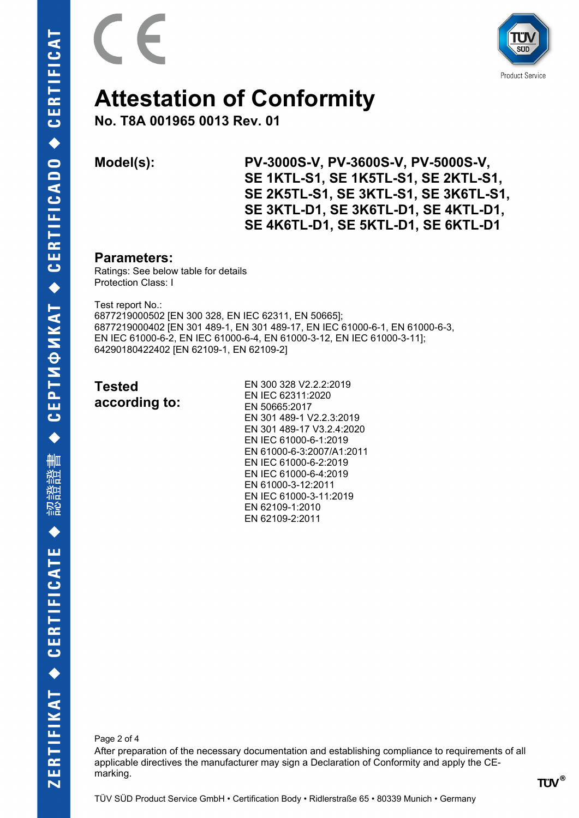



**No. T8A 001965 0013 Rev. 01**

**Model(s): PV-3000S-V, PV-3600S-V, PV-5000S-V, SE 1KTL-S1, SE 1K5TL-S1, SE 2KTL-S1, SE 2K5TL-S1, SE 3KTL-S1, SE 3K6TL-S1, SE 3KTL-D1, SE 3K6TL-D1, SE 4KTL-D1, SE 4K6TL-D1, SE 5KTL-D1, SE 6KTL-D1** 

#### **Parameters:**

Ratings: See below table for details Protection Class: I

Test report No.: 6877219000502 [EN 300 328, EN IEC 62311, EN 50665]; 6877219000402 [EN 301 489-1, EN 301 489-17, EN IEC 61000-6-1, EN 61000-6-3, EN IEC 61000-6-2, EN IEC 61000-6-4, EN 61000-3-12, EN IEC 61000-3-11]; 64290180422402 [EN 62109-1, EN 62109-2]

| <b>Tested</b> |  |
|---------------|--|
| according to: |  |

EN 300 328 V2.2.2:2019 EN IEC 62311:2020 EN 50665:2017 EN 301 489-1 V2.2.3:2019 EN 301 489-17 V3.2.4:2020 EN IEC 61000-6-1:2019 EN 61000-6-3:2007/A1:2011 EN IEC 61000-6-2:2019 EN IEC 61000-6-4:2019 EN 61000-3-12:2011 EN IEC 61000-3-11:2019 EN 62109-1:2010 EN 62109-2:2011

Page 2 of 4

After preparation of the necessary documentation and establishing compliance to requirements of all applicable directives the manufacturer may sign a Declaration of Conformity and apply the CEmarking.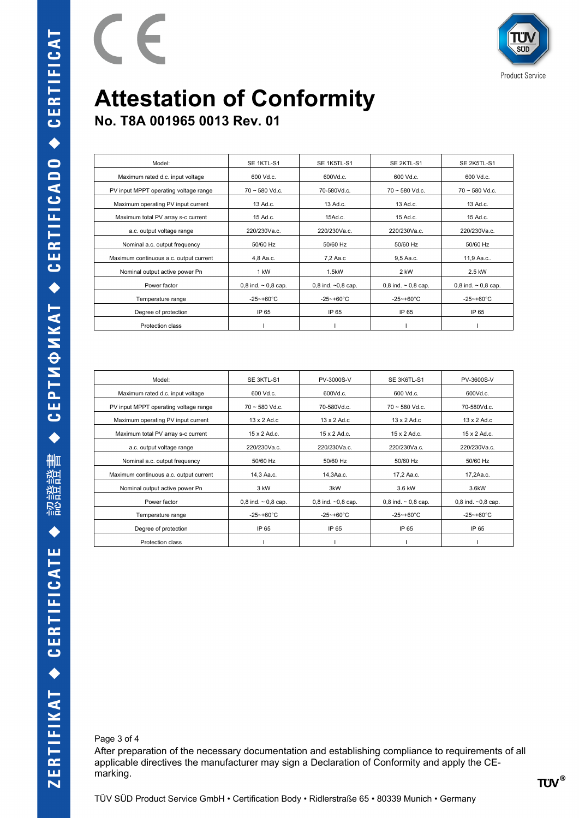

**No. T8A 001965 0013 Rev. 01**

 $\epsilon$ 

 $\sqrt{2}$ 

| Model:                                 | SE 1KTL-S1                 | SE 1K5TL-S1          | SE 2KTL-S1                 | SE 2K5TL-S1                |
|----------------------------------------|----------------------------|----------------------|----------------------------|----------------------------|
| Maximum rated d.c. input voltage       | $600$ Vd.c.                | 600Vd.c.             | 600 Vd.c.                  | 600 Vd.c.                  |
| PV input MPPT operating voltage range  | $70 - 580$ Vd.c.           | 70-580Vd.c.          | $70 \sim 580$ Vd.c.        | $70 \sim 580$ Vd.c.        |
| Maximum operating PV input current     | 13 Ad.c.                   | 13 Ad.c.             | 13 Ad.c.                   | 13 Ad.c.                   |
| Maximum total PV array s-c current     | 15 Ad.c.                   | 15Ad.c.              | 15 Ad.c.                   | 15 Ad.c.                   |
| a.c. output voltage range              | 220/230Va.c.               | 220/230Va.c.         | 220/230Va.c.               | 220/230Va.c.               |
| Nominal a.c. output frequency          | 50/60 Hz                   | 50/60 Hz             | 50/60 Hz                   | 50/60 Hz                   |
| Maximum continuous a.c. output current | 4.8 Aa.c.                  | 7.2 Aa.c             | 9.5 Aa.c.                  | 11,9 Aa.c                  |
| Nominal output active power Pn         | 1 kW                       | 1.5kW                | 2 kW                       | 2.5 kW                     |
| Power factor                           | $0.8$ ind. $\sim 0.8$ cap. | 0,8 ind. $-0.8$ cap. | $0.8$ ind. $\sim 0.8$ cap. | $0.8$ ind. $\sim 0.8$ cap. |
| Temperature range                      | $-25$ ~+60°C               | $-25 - +60^{\circ}C$ | $-25 - +60^{\circ}$ C      | $-25 - +60^{\circ}C$       |
| Degree of protection                   | IP 65                      | IP 65                | IP 65                      | IP 65                      |
| Protection class                       |                            |                      |                            |                            |

| Model:                                 | SE 3KTL-S1                 | PV-3000S-V                    | SE 3K6TL-S1                | PV-3600S-V           |
|----------------------------------------|----------------------------|-------------------------------|----------------------------|----------------------|
| Maximum rated d.c. input voltage       | 600Vd.c.<br>$600$ Vd.c.    |                               | $600$ Vd.c.                | 600Vd.c.             |
| PV input MPPT operating voltage range  | $70 \sim 580$ Vd.c.        | 70-580Vd.c.                   | $70 \sim 580$ Vd.c.        | 70-580Vd.c.          |
| Maximum operating PV input current     | $13 \times 2$ Ad.c         | $13 \times 2$ Ad.c            | $13 \times 2$ Ad.c         | $13 \times 2$ Ad.c   |
| Maximum total PV array s-c current     | $15 \times 2$ Ad.c.        | $15 \times 2$ Ad.c.           | $15 \times 2$ Ad.c.        | $15 \times 2$ Ad.c.  |
| a.c. output voltage range              | 220/230Va.c.               | $220/230$ Vac<br>220/230Va.c. |                            | 220/230Va.c.         |
| Nominal a.c. output frequency          | 50/60 Hz                   | 50/60 Hz                      | 50/60 Hz                   | 50/60 Hz             |
| Maximum continuous a.c. output current | 14.3 Aa.c.                 | 14.3Aa.c.                     | 17.2 Aa.c.                 | 17.2Aa.c.            |
| Nominal output active power Pn         | 3 kW                       | 3kW                           | 3.6 kW                     | 3.6kW                |
| Power factor                           | $0.8$ ind. $\sim 0.8$ cap. | 0,8 ind. $-0,8$ cap.          | $0.8$ ind. $\sim 0.8$ cap. | 0.8 ind. $-0.8$ cap. |
| Temperature range                      | $-25 - +60^{\circ}C$       | $-25 - +60^{\circ}C$          | $-25 - +60^{\circ}C$       | $-25 - +60^{\circ}C$ |
| Degree of protection                   | IP 65                      | IP 65<br>IP 65                |                            | IP 65                |
| Protection class                       |                            |                               |                            |                      |

Page 3 of 4

After preparation of the necessary documentation and establishing compliance to requirements of all applicable directives the manufacturer may sign a Declaration of Conformity and apply the CEmarking.